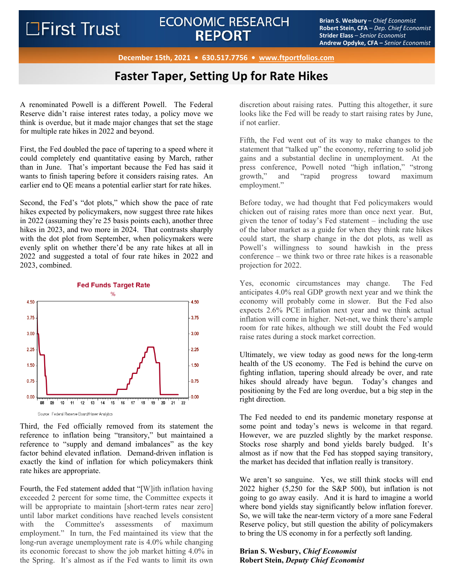# ECONOMIC RESEARCH<br>**BEDOPT BRIANT BRIANT BEDOPT Exitence Examplement Exitence Conomist REPORT**

**Robert Stein, CFA** – *Dep. Chief Economist* **Strider Elass** – *Senior Economist* **Andrew Opdyke, CFA –** *Senior Economist*

**December 15th, 2021 • 630.517.7756 • www.ftportfolios.com**

## **Faster Taper, Setting Up for Rate Hikes**

A renominated Powell is a different Powell. The Federal Reserve didn't raise interest rates today, a policy move we think is overdue, but it made major changes that set the stage for multiple rate hikes in 2022 and beyond.

First, the Fed doubled the pace of tapering to a speed where it could completely end quantitative easing by March, rather than in June. That's important because the Fed has said it wants to finish tapering before it considers raising rates. An earlier end to QE means a potential earlier start for rate hikes.

Second, the Fed's "dot plots," which show the pace of rate hikes expected by policymakers, now suggest three rate hikes in 2022 (assuming they're 25 basis points each), another three hikes in 2023, and two more in 2024. That contrasts sharply with the dot plot from September, when policymakers were evenly split on whether there'd be any rate hikes at all in 2022 and suggested a total of four rate hikes in 2022 and 2023, combined.



Third, the Fed officially removed from its statement the reference to inflation being "transitory," but maintained a reference to "supply and demand imbalances" as the key factor behind elevated inflation. Demand-driven inflation is exactly the kind of inflation for which policymakers think rate hikes are appropriate.

Fourth, the Fed statement added that "[W]ith inflation having exceeded 2 percent for some time, the Committee expects it will be appropriate to maintain [short-term rates near zero] until labor market conditions have reached levels consistent with the Committee's assessments of maximum employment." In turn, the Fed maintained its view that the long-run average unemployment rate is 4.0% while changing its economic forecast to show the job market hitting 4.0% in the Spring. It's almost as if the Fed wants to limit its own

discretion about raising rates. Putting this altogether, it sure looks like the Fed will be ready to start raising rates by June, if not earlier.

Fifth, the Fed went out of its way to make changes to the statement that "talked up" the economy, referring to solid job gains and a substantial decline in unemployment. At the press conference, Powell noted "high inflation," "strong growth," and "rapid progress toward maximum employment."

Before today, we had thought that Fed policymakers would chicken out of raising rates more than once next year. But, given the tenor of today's Fed statement – including the use of the labor market as a guide for when they think rate hikes could start, the sharp change in the dot plots, as well as Powell's willingness to sound hawkish in the press conference – we think two or three rate hikes is a reasonable projection for 2022.

Yes, economic circumstances may change. The Fed anticipates 4.0% real GDP growth next year and we think the economy will probably come in slower. But the Fed also expects 2.6% PCE inflation next year and we think actual inflation will come in higher. Net-net, we think there's ample room for rate hikes, although we still doubt the Fed would raise rates during a stock market correction.

Ultimately, we view today as good news for the long-term health of the US economy. The Fed is behind the curve on fighting inflation, tapering should already be over, and rate hikes should already have begun. Today's changes and positioning by the Fed are long overdue, but a big step in the right direction.

The Fed needed to end its pandemic monetary response at some point and today's news is welcome in that regard. However, we are puzzled slightly by the market response. Stocks rose sharply and bond yields barely budged. It's almost as if now that the Fed has stopped saying transitory, the market has decided that inflation really is transitory.

We aren't so sanguine. Yes, we still think stocks will end 2022 higher (5,250 for the S&P 500), but inflation is not going to go away easily. And it is hard to imagine a world where bond yields stay significantly below inflation forever. So, we will take the near-term victory of a more sane Federal Reserve policy, but still question the ability of policymakers to bring the US economy in for a perfectly soft landing.

## **Brian S. Wesbury,** *Chief Economist* **Robert Stein,** *Deputy Chief Economist*